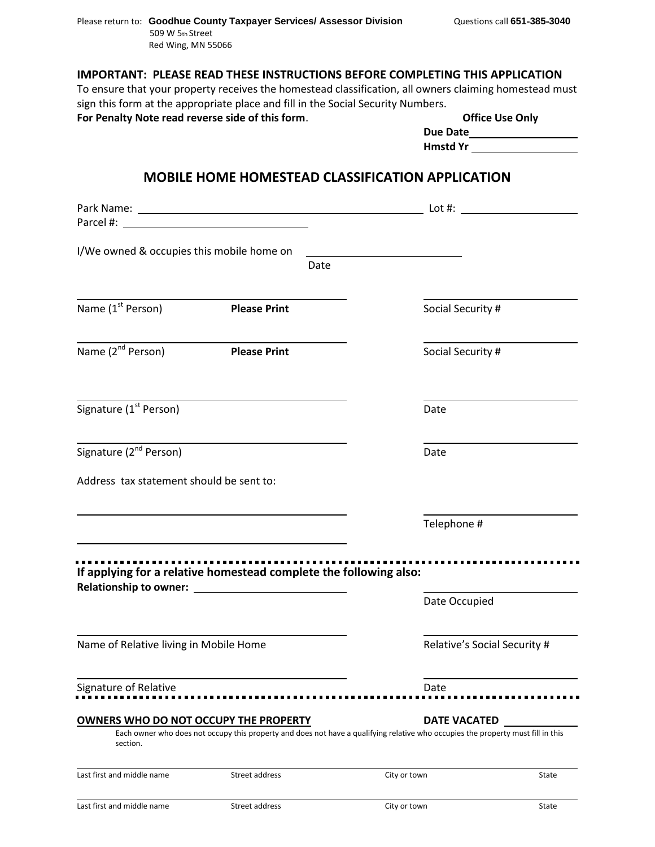## **IMPORTANT: PLEASE READ THESE INSTRUCTIONS BEFORE COMPLETING THIS APPLICATION**

To ensure that your property receives the homestead classification, all owners claiming homestead must sign this form at the appropriate place and fill in the Social Security Numbers.

For Penalty Note read reverse side of this form.

|          | <b>Office Use Only</b> |  |
|----------|------------------------|--|
| Due Date |                        |  |
|          |                        |  |

**Hmstd Yr** 

## **MOBILE HOME HOMESTEAD CLASSIFICATION APPLICATION**

|                                                                   |                     |      |                                                                                                                                                         | Lot #: $\qquad \qquad$       |  |
|-------------------------------------------------------------------|---------------------|------|---------------------------------------------------------------------------------------------------------------------------------------------------------|------------------------------|--|
|                                                                   |                     |      |                                                                                                                                                         |                              |  |
| I/We owned & occupies this mobile home on                         |                     |      |                                                                                                                                                         |                              |  |
|                                                                   |                     | Date |                                                                                                                                                         |                              |  |
|                                                                   |                     |      |                                                                                                                                                         |                              |  |
| Name (1 <sup>st</sup> Person)                                     | <b>Please Print</b> |      | Social Security #                                                                                                                                       |                              |  |
| Name (2 <sup>nd</sup> Person)                                     | <b>Please Print</b> |      | Social Security #                                                                                                                                       |                              |  |
| Signature (1 <sup>st</sup> Person)                                |                     |      | Date                                                                                                                                                    |                              |  |
| Signature (2 <sup>nd</sup> Person)                                |                     |      | Date                                                                                                                                                    |                              |  |
| Address tax statement should be sent to:                          |                     |      |                                                                                                                                                         |                              |  |
|                                                                   |                     |      | Telephone #                                                                                                                                             |                              |  |
| If applying for a relative homestead complete the following also: |                     |      |                                                                                                                                                         |                              |  |
|                                                                   |                     |      | Date Occupied                                                                                                                                           |                              |  |
| Name of Relative living in Mobile Home                            |                     |      |                                                                                                                                                         | Relative's Social Security # |  |
| Signature of Relative                                             |                     |      | Date                                                                                                                                                    |                              |  |
|                                                                   |                     |      |                                                                                                                                                         |                              |  |
| OWNERS WHO DO NOT OCCUPY THE PROPERTY<br>section.                 |                     |      | <b>DATE VACATED</b><br>Each owner who does not occupy this property and does not have a qualifying relative who occupies the property must fill in this |                              |  |
| Last first and middle name                                        | Street address      |      | City or town                                                                                                                                            | State                        |  |
| Last first and middle name                                        | Street address      |      | City or town                                                                                                                                            | State                        |  |